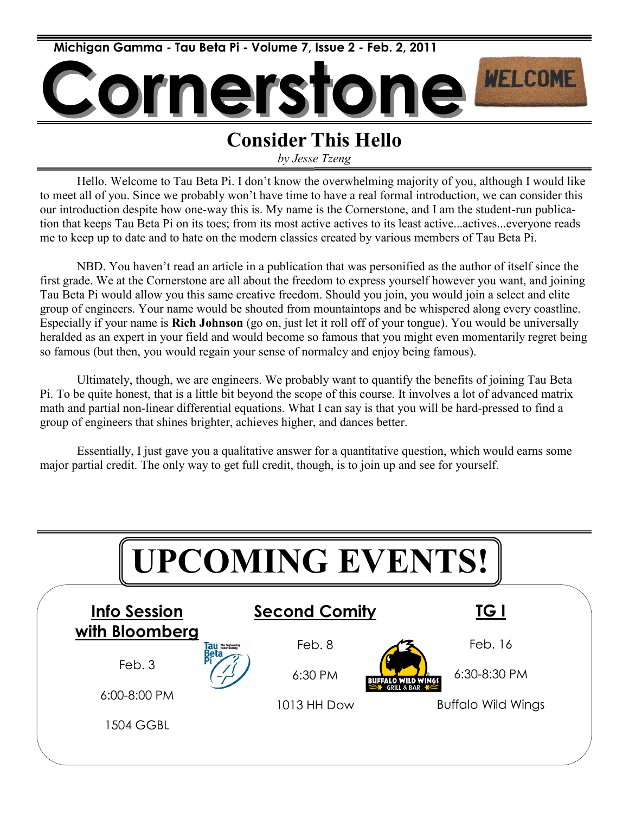

## **Consider This Hello**

*by Jesse Tzeng*

Hello. Welcome to Tau Beta Pi. I don't know the overwhelming majority of you, although I would like to meet all of you. Since we probably won't have time to have a real formal introduction, we can consider this our introduction despite how one-way this is. My name is the Cornerstone, and I am the student-run publication that keeps Tau Beta Pi on its toes; from its most active actives to its least active...actives...everyone reads me to keep up to date and to hate on the modern classics created by various members of Tau Beta Pi.

NBD. You haven't read an article in a publication that was personified as the author of itself since the first grade. We at the Cornerstone are all about the freedom to express yourself however you want, and joining Tau Beta Pi would allow you this same creative freedom. Should you join, you would join a select and elite group of engineers. Your name would be shouted from mountaintops and be whispered along every coastline. Especially if your name is **Rich Johnson** (go on, just let it roll off of your tongue). You would be universally heralded as an expert in your field and would become so famous that you might even momentarily regret being so famous (but then, you would regain your sense of normalcy and enjoy being famous).

Ultimately, though, we are engineers. We probably want to quantify the benefits of joining Tau Beta Pi. To be quite honest, that is a little bit beyond the scope of this course. It involves a lot of advanced matrix math and partial non-linear differential equations. What I can say is that you will be hard-pressed to find a group of engineers that shines brighter, achieves higher, and dances better.

Essentially, I just gave you a qualitative answer for a quantitative question, which would earns some major partial credit. The only way to get full credit, though, is to join up and see for yourself.

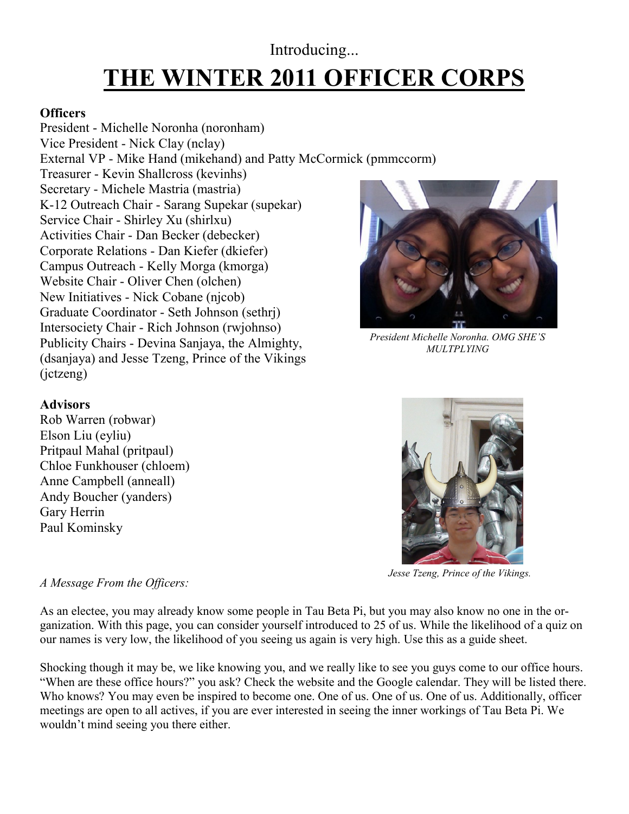## **THE WINTER 2011 OFFICER CORPS** Introducing...

#### **Officers**

President - Michelle Noronha (noronham) Vice President - Nick Clay (nclay) External VP - Mike Hand (mikehand) and Patty McCormick (pmmccorm) Treasurer - Kevin Shallcross (kevinhs) Secretary - Michele Mastria (mastria) K-12 Outreach Chair - Sarang Supekar (supekar) Service Chair - Shirley Xu (shirlxu) Activities Chair - Dan Becker (debecker) Corporate Relations - Dan Kiefer (dkiefer) Campus Outreach - Kelly Morga (kmorga) Website Chair - Oliver Chen (olchen) New Initiatives - Nick Cobane (njcob) Graduate Coordinator - Seth Johnson (sethrj) Intersociety Chair - Rich Johnson (rwjohnso) Publicity Chairs - Devina Sanjaya, the Almighty, (dsanjaya) and Jesse Tzeng, Prince of the Vikings (jctzeng)



*President Michelle Noronha. OMG SHE'S MULTPLYING*

## **Advisors**

Rob Warren (robwar) Elson Liu (eyliu) Pritpaul Mahal (pritpaul) Chloe Funkhouser (chloem) Anne Campbell (anneall) Andy Boucher (yanders) Gary Herrin Paul Kominsky



*Jesse Tzeng, Prince of the Vikings.*

#### *A Message From the Officers:*

As an electee, you may already know some people in Tau Beta Pi, but you may also know no one in the organization. With this page, you can consider yourself introduced to 25 of us. While the likelihood of a quiz on our names is very low, the likelihood of you seeing us again is very high. Use this as a guide sheet.

Shocking though it may be, we like knowing you, and we really like to see you guys come to our office hours. "When are these office hours?" you ask? Check the website and the Google calendar. They will be listed there. Who knows? You may even be inspired to become one. One of us. One of us. One of us. Additionally, officer meetings are open to all actives, if you are ever interested in seeing the inner workings of Tau Beta Pi. We wouldn't mind seeing you there either.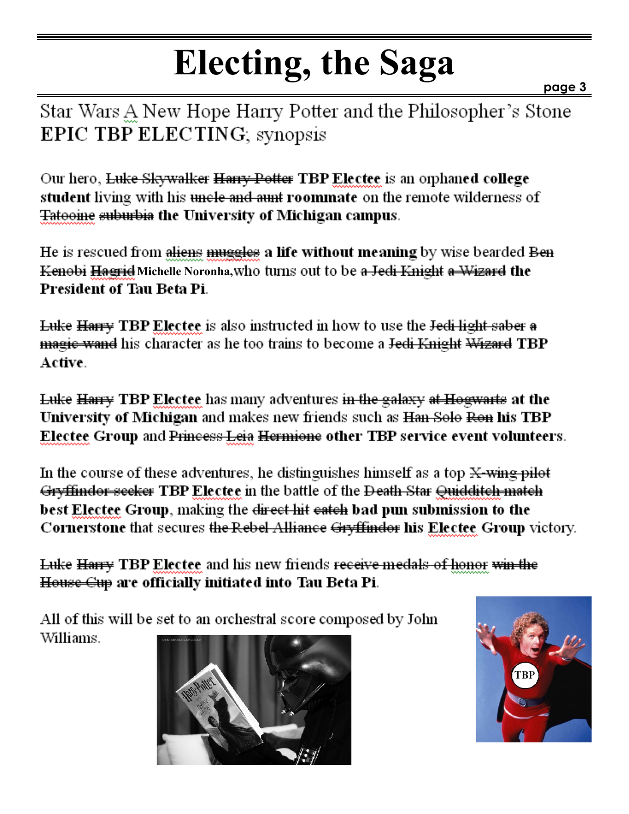# **Electing, the Saga**

**page 3**

Star Wars A New Hope Harry Potter and the Philosopher's Stone **EPIC TBP ELECTING**, synopsis

Our hero, Luke Skywalker Harry Potter TBP Electee is an orphaned college student living with his <del>uncle and aunt</del> roommate on the remote wilderness of Tatooine suburbia the University of Michigan campus.

He is rescued from aliens muggles a life without meaning by wise bearded Ben Kenobi Hagrid Michelle Noronha, who turns out to be a Jedi Knight a Wizard the **President of Tau Beta Pi.** 

**Luke Harry TBP Electee** is also instructed in how to use the Jedi light saber a magie wand his character as he too trains to become a Jedi Knight Wizard TBP Active.

Luke Harry TBP Electee has many adventures in the galaxy at Hogwarts at the University of Michigan and makes new friends such as Han Solo Ron his TBP Electee Group and Princess Leia Hermione other TBP service event volunteers.

In the course of these adventures, he distinguishes himself as a top  $X$ -wing pilot Gryffindor seeker TBP Electee in the battle of the Death Star Quidditch match best Electee Group, making the direct hit eateh bad pun submission to the Cornerstone that secures the Rebel Alliance Gryffinder his Electee Group victory.

Luke Harry TBP Electee and his new friends receive medals of honor win the House Cup are officially initiated into Tau Beta Pi.

All of this will be set to an orchestral score composed by John Williams.



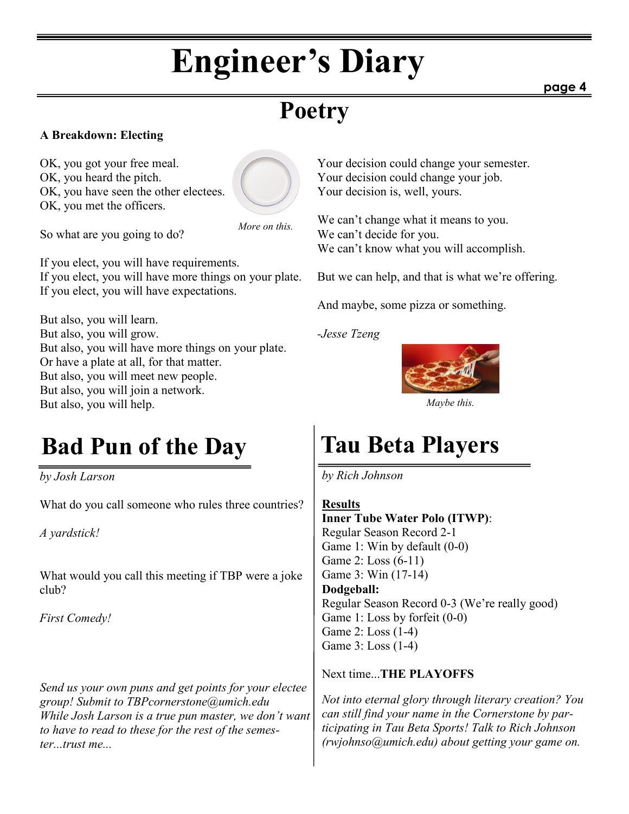# **Engineer's Diary**

**page 4**

## **Poetry**

## **A Breakdown: Electing**

OK, you got your free meal. OK, you heard the pitch. OK, you have seen the other electees. OK, you met the officers.



So what are you going to do?

If you elect, you will have requirements. If you elect, you will have more things on your plate. If you elect, you will have expectations.

But also, you will learn. But also, you will grow. But also, you will have more things on your plate. Or have a plate at all, for that matter. But also, you will meet new people. But also, you will join a network. But also, you will help.

## **Bad Pun of the Day Tau Beta Players**

*by Josh Larson*

What do you call someone who rules three countries?

*A yardstick!*

What would you call this meeting if TBP were a joke club?

*First Comedy!*

*Send us your own puns and get points for your electee group! Submit to TBPcornerstone@umich.edu While Josh Larson is a true pun master, we don't want to have to read to these for the rest of the semester...trust me...*

Your decision could change your semester. Your decision could change your job. Your decision is, well, yours.

We can't change what it means to you. We can't decide for you. We can't know what you will accomplish.

But we can help, and that is what we're offering.

And maybe, some pizza or something.

*-Jesse Tzeng*



*Maybe this.*

*by Rich Johnson*

#### **Results**

**Inner Tube Water Polo (ITWP)**: Regular Season Record 2-1 Game 1: Win by default (0-0) Game 2: Loss (6-11) Game 3: Win (17-14) **Dodgeball:** Regular Season Record 0-3 (We're really good) Game 1: Loss by forfeit (0-0) Game 2: Loss (1-4) Game 3: Loss (1-4)

Next time...**THE PLAYOFFS**

*Not into eternal glory through literary creation? You can still find your name in the Cornerstone by participating in Tau Beta Sports! Talk to Rich Johnson (rwjohnso@umich.edu) about getting your game on.*